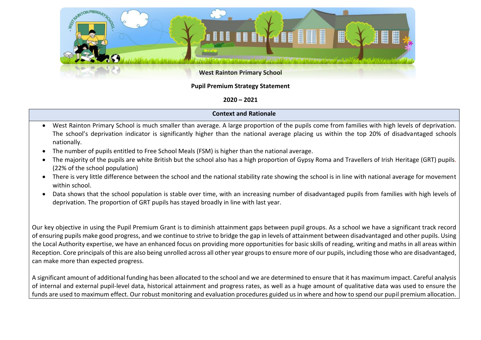

## **Pupil Premium Strategy Statement**

## **2020 – 2021**

## **Context and Rationale**

- West Rainton Primary School is much smaller than average. A large proportion of the pupils come from families with high levels of deprivation. The school's deprivation indicator is significantly higher than the national average placing us within the top 20% of disadvantaged schools nationally.
- The number of pupils entitled to Free School Meals (FSM) is higher than the national average.
- The majority of the pupils are white British but the school also has a high proportion of Gypsy Roma and Travellers of Irish Heritage (GRT) pupils. (22% of the school population)
- There is very little difference between the school and the national stability rate showing the school is in line with national average for movement within school.
- Data shows that the school population is stable over time, with an increasing number of disadvantaged pupils from families with high levels of deprivation. The proportion of GRT pupils has stayed broadly in line with last year.

Our key objective in using the Pupil Premium Grant is to diminish attainment gaps between pupil groups. As a school we have a significant track record of ensuring pupils make good progress, and we continue to strive to bridge the gap in levels of attainment between disadvantaged and other pupils. Using the Local Authority expertise, we have an enhanced focus on providing more opportunities for basic skills of reading, writing and maths in all areas within Reception. Core principals of this are also being unrolled across all other year groups to ensure more of our pupils, including those who are disadvantaged, can make more than expected progress.

A significant amount of additional funding has been allocated to the school and we are determined to ensure that it has maximum impact. Careful analysis of internal and external pupil-level data, historical attainment and progress rates, as well as a huge amount of qualitative data was used to ensure the funds are used to maximum effect. Our robust monitoring and evaluation procedures guided us in where and how to spend our pupil premium allocation.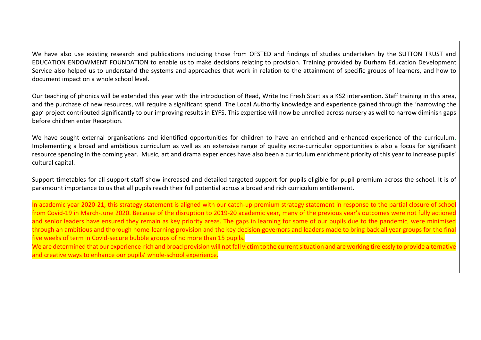We have also use existing research and publications including those from OFSTED and findings of studies undertaken by the SUTTON TRUST and EDUCATION ENDOWMENT FOUNDATION to enable us to make decisions relating to provision. Training provided by Durham Education Development Service also helped us to understand the systems and approaches that work in relation to the attainment of specific groups of learners, and how to document impact on a whole school level.

Our teaching of phonics will be extended this year with the introduction of Read, Write Inc Fresh Start as a KS2 intervention. Staff training in this area, and the purchase of new resources, will require a significant spend. The Local Authority knowledge and experience gained through the 'narrowing the gap' project contributed significantly to our improving results in EYFS. This expertise will now be unrolled across nursery as well to narrow diminish gaps before children enter Reception.

We have sought external organisations and identified opportunities for children to have an enriched and enhanced experience of the curriculum. Implementing a broad and ambitious curriculum as well as an extensive range of quality extra-curricular opportunities is also a focus for significant resource spending in the coming year. Music, art and drama experiences have also been a curriculum enrichment priority of this year to increase pupils' cultural capital.

Support timetables for all support staff show increased and detailed targeted support for pupils eligible for pupil premium across the school. It is of paramount importance to us that all pupils reach their full potential across a broad and rich curriculum entitlement.

In academic year 2020-21, this strategy statement is aligned with our catch-up premium strategy statement in response to the partial closure of school from Covid-19 in March-June 2020. Because of the disruption to 2019-20 academic year, many of the previous year's outcomes were not fully actioned and senior leaders have ensured they remain as key priority areas. The gaps in learning for some of our pupils due to the pandemic, were minimised through an ambitious and thorough home-learning provision and the key decision governors and leaders made to bring back all year groups for the final five weeks of term in Covid-secure bubble groups of no more than 15 pupils.

We are determined that our experience-rich and broad provision will not fall victim to the current situation and are working tirelessly to provide alternative and creative ways to enhance our pupils' whole-school experience.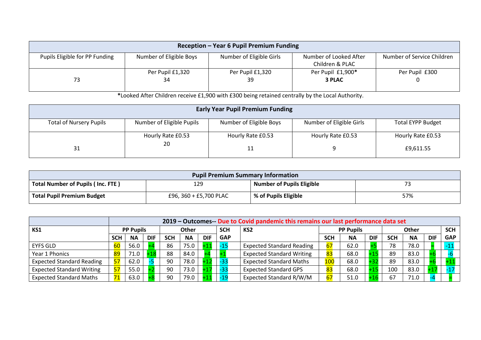| Reception - Year 6 Pupil Premium Funding |                         |                          |                        |                            |  |  |  |  |  |
|------------------------------------------|-------------------------|--------------------------|------------------------|----------------------------|--|--|--|--|--|
| Pupils Eligible for PP Funding           | Number of Eligible Boys | Number of Eligible Girls | Number of Looked After | Number of Service Children |  |  |  |  |  |
|                                          |                         |                          | Children & PLAC        |                            |  |  |  |  |  |
|                                          | Per Pupil £1,320        | Per Pupil £1,320         | Per Pupil £1,900*      | Per Pupil £300             |  |  |  |  |  |
| 73                                       | 34                      | 39                       | 3 PLAC                 |                            |  |  |  |  |  |
|                                          |                         |                          |                        |                            |  |  |  |  |  |

**\***Looked After Children receive £1,900 with £300 being retained centrally by the Local Authority.

| <b>Early Year Pupil Premium Funding</b> |                           |                         |                          |                          |  |  |  |  |  |  |
|-----------------------------------------|---------------------------|-------------------------|--------------------------|--------------------------|--|--|--|--|--|--|
| <b>Total of Nursery Pupils</b>          | Number of Eligible Pupils | Number of Eligible Boys | Number of Eligible Girls | <b>Total EYPP Budget</b> |  |  |  |  |  |  |
|                                         | Hourly Rate £0.53<br>20   | Hourly Rate £0.53       | Hourly Rate £0.53        | Hourly Rate £0.53        |  |  |  |  |  |  |
| 31                                      |                           | 11                      |                          | £9,611.55                |  |  |  |  |  |  |

| <b>Pupil Premium Summary Information</b> |                        |                                  |     |  |  |  |  |  |
|------------------------------------------|------------------------|----------------------------------|-----|--|--|--|--|--|
| Total Number of Pupils (Inc. FTE)        | 129                    | <b>Number of Pupils Eligible</b> |     |  |  |  |  |  |
| <b>Total Pupil Premium Budget</b>        | £96, 360 + £5,700 PLAC | % of Pupils Eligible             | 57% |  |  |  |  |  |

|                                  |            | 2019 – Outcomes-- Due to Covid pandemic this remains our last performance data set |            |            |              |            |            |                                  |                  |           |            |            |              |            |            |
|----------------------------------|------------|------------------------------------------------------------------------------------|------------|------------|--------------|------------|------------|----------------------------------|------------------|-----------|------------|------------|--------------|------------|------------|
| KS1                              |            | <b>PP Pupils</b>                                                                   |            |            | <b>Other</b> |            | <b>SCH</b> | KS <sub>2</sub>                  | <b>PP Pupils</b> |           |            |            | <b>Other</b> |            | <b>SCH</b> |
|                                  | <b>SCH</b> | <b>NA</b>                                                                          | <b>DIF</b> | <b>SCH</b> | <b>NA</b>    | <b>DIF</b> | <b>GAP</b> |                                  | <b>SCH</b>       | <b>NA</b> | <b>DIF</b> | <b>SCH</b> | <b>NA</b>    | <b>DIF</b> | <b>GAP</b> |
| <b>EYFS GLD</b>                  | 60         | 56.0                                                                               |            | 86         | 75.0         | - 1        | -15        | <b>Expected Standard Reading</b> | 67               | 62.0      |            | 78         | 78.0         |            |            |
| Year 1 Phonics                   | 89         | 71.0                                                                               |            | 88         | 84.0         |            |            | <b>Expected Standard Writing</b> | 83               | 68.0      |            | 89         | 83.0         |            |            |
| <b>Expected Standard Reading</b> | 57         | 62.0                                                                               |            | 90         | 78.0         | $+1.$      | -33        | <b>Expected Standard Maths</b>   | <b>100</b>       | 68.0      | ⊥ຊລ        | 89         | 83.0         |            |            |
| <b>Expected Standard Writing</b> | 57         | 55.0                                                                               |            | 90         | 73.0         |            |            | <b>Expected Standard GPS</b>     | 83               | 68.0      |            | 100        | 83.0         |            |            |
| <b>Expected Standard Maths</b>   | 71         | 63.0                                                                               |            | 90         | 79.0         |            |            | Expected Standard R/W/M          | 67               | 51.0      |            | 67         | 71.0         |            |            |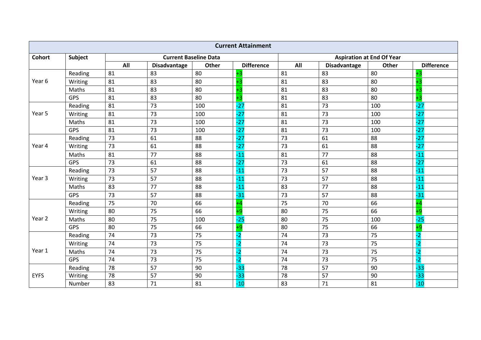| <b>Current Attainment</b> |            |     |                     |                              |                   |     |                     |                                  |                   |  |  |
|---------------------------|------------|-----|---------------------|------------------------------|-------------------|-----|---------------------|----------------------------------|-------------------|--|--|
| <b>Cohort</b>             | Subject    |     |                     | <b>Current Baseline Data</b> |                   |     |                     | <b>Aspiration at End Of Year</b> |                   |  |  |
|                           |            | All | <b>Disadvantage</b> | Other                        | <b>Difference</b> | All | <b>Disadvantage</b> | Other                            | <b>Difference</b> |  |  |
|                           | Reading    | 81  | 83                  | 80                           |                   | 81  | 83                  | 80                               |                   |  |  |
| Year 6                    | Writing    | 81  | 83                  | 80                           | +3                | 81  | 83                  | 80                               |                   |  |  |
|                           | Maths      | 81  | 83                  | 80                           |                   | 81  | 83                  | 80                               | +3                |  |  |
|                           | <b>GPS</b> | 81  | 83                  | 80                           | +3                | 81  | 83                  | 80                               | $+3$              |  |  |
|                           | Reading    | 81  | 73                  | 100                          | $-27$             | 81  | 73                  | 100                              | $-27$             |  |  |
| Year 5                    | Writing    | 81  | 73                  | 100                          | $-27$             | 81  | 73                  | 100                              | $-27$             |  |  |
|                           | Maths      | 81  | 73                  | 100                          | $-27$             | 81  | 73                  | 100                              | $-27$             |  |  |
|                           | GPS        | 81  | 73                  | 100                          | $-27$             | 81  | 73                  | 100                              | $-27$             |  |  |
|                           | Reading    | 73  | 61                  | 88                           | $-27$             | 73  | 61                  | 88                               | $-27$             |  |  |
| Year 4                    | Writing    | 73  | 61                  | 88                           | $-27$             | 73  | 61                  | 88                               | $-27$             |  |  |
|                           | Maths      | 81  | 77                  | 88                           | $-11$             | 81  | 77                  | 88                               | $-11$             |  |  |
|                           | GPS        | 73  | 61                  | 88                           | $-27$             | 73  | 61                  | 88                               | $-27$             |  |  |
|                           | Reading    | 73  | 57                  | 88                           | $-11$             | 73  | 57                  | 88                               | $-11$             |  |  |
| Year 3                    | Writing    | 73  | 57                  | 88                           | $-11$             | 73  | 57                  | 88                               | $-11$             |  |  |
|                           | Maths      | 83  | 77                  | 88                           | $-11$             | 83  | 77                  | 88                               | $-11$             |  |  |
|                           | GPS        | 73  | 57                  | 88                           | $-31$             | 73  | 57                  | 88                               | $-31$             |  |  |
|                           | Reading    | 75  | 70                  | 66                           |                   | 75  | 70                  | 66                               | ۰4                |  |  |
|                           | Writing    | 80  | 75                  | 66                           | +9                | 80  | 75                  | 66                               | $+9$              |  |  |
| Year 2                    | Maths      | 80  | 75                  | 100                          | $-25$             | 80  | 75                  | 100                              | $-25$             |  |  |
|                           | <b>GPS</b> | 80  | 75                  | 66                           | -9                | 80  | 75                  | 66                               | $+9$              |  |  |
|                           | Reading    | 74  | 73                  | 75                           | -2                | 74  | 73                  | 75                               | $-2$              |  |  |
|                           | Writing    | 74  | 73                  | 75                           | -2                | 74  | 73                  | 75                               | $-2$              |  |  |
| Year 1                    | Maths      | 74  | 73                  | 75                           | $-2$              | 74  | 73                  | 75                               | $-2$              |  |  |
|                           | GPS        | 74  | 73                  | 75                           | -2                | 74  | 73                  | 75                               | $-2$              |  |  |
|                           | Reading    | 78  | 57                  | 90                           | $-33$             | 78  | 57                  | 90                               | $-33$             |  |  |
| <b>EYFS</b>               | Writing    | 78  | 57                  | 90                           | $-33$             | 78  | 57                  | 90                               | $-33$             |  |  |
|                           | Number     | 83  | 71                  | 81                           | $-10$             | 83  | 71                  | 81                               | $-10$             |  |  |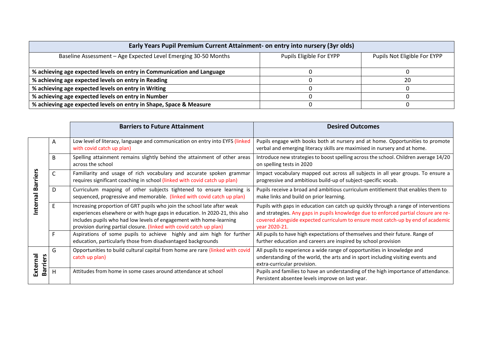| Early Years Pupil Premium Current Attainment- on entry into nursery (3yr olds) |                          |                              |  |  |  |  |  |  |  |
|--------------------------------------------------------------------------------|--------------------------|------------------------------|--|--|--|--|--|--|--|
| Baseline Assessment - Age Expected Level Emerging 30-50 Months                 | Pupils Eligible For EYPP | Pupils Not Eligible For EYPP |  |  |  |  |  |  |  |
| % achieving age expected levels on entry in Communication and Language         |                          |                              |  |  |  |  |  |  |  |
| % achieving age expected levels on entry in Reading                            |                          | 20                           |  |  |  |  |  |  |  |
| % achieving age expected levels on entry in Writing                            |                          |                              |  |  |  |  |  |  |  |
| % achieving age expected levels on entry in Number                             |                          |                              |  |  |  |  |  |  |  |
| % achieving age expected levels on entry in Shape, Space & Measure             |                          |                              |  |  |  |  |  |  |  |

|                      |    | <b>Barriers to Future Attainment</b>                                                                                                                                                                                                                                                                 | <b>Desired Outcomes</b>                                                                                                                                                                                                                                                          |
|----------------------|----|------------------------------------------------------------------------------------------------------------------------------------------------------------------------------------------------------------------------------------------------------------------------------------------------------|----------------------------------------------------------------------------------------------------------------------------------------------------------------------------------------------------------------------------------------------------------------------------------|
|                      | Α  | Low level of literacy, language and communication on entry into EYFS (linked<br>with covid catch up plan)                                                                                                                                                                                            | Pupils engage with books both at nursery and at home. Opportunities to promote<br>verbal and emerging literacy skills are maximised in nursery and at home.                                                                                                                      |
|                      | B  | Spelling attainment remains slightly behind the attainment of other areas<br>across the school                                                                                                                                                                                                       | Introduce new strategies to boost spelling across the school. Children average 14/20<br>on spelling tests in 2020                                                                                                                                                                |
| <b>Barriers</b>      | C  | Familiarity and usage of rich vocabulary and accurate spoken grammar<br>requires significant coaching in school (linked with covid catch up plan)                                                                                                                                                    | Impact vocabulary mapped out across all subjects in all year groups. To ensure a<br>progressive and ambitious build-up of subject-specific vocab.                                                                                                                                |
| nterna               | D. | Curriculum mapping of other subjects tightened to ensure learning is<br>sequenced, progressive and memorable. (linked with covid catch up plan)                                                                                                                                                      | Pupils receive a broad and ambitious curriculum entitlement that enables them to<br>make links and build on prior learning.                                                                                                                                                      |
|                      |    | Increasing proportion of GRT pupils who join the school late after weak<br>experiences elsewhere or with huge gaps in education. In 2020-21, this also<br>includes pupils who had low levels of engagement with home-learning<br>provision during partial closure. (linked with covid catch up plan) | Pupils with gaps in education can catch up quickly through a range of interventions<br>and strategies. Any gaps in pupils knowledge due to enforced partial closure are re-<br>covered alongside expected curriculum to ensure most catch-up by end of academic<br>vear 2020-21. |
|                      |    | Aspirations of some pupils to achieve highly and aim high for further<br>education, particularly those from disadvantaged backgrounds                                                                                                                                                                | All pupils to have high expectations of themselves and their future. Range of<br>further education and careers are inspired by school provision                                                                                                                                  |
| External<br>Barriers | G  | Opportunities to build cultural capital from home are rare (linked with covid<br>catch up plan)                                                                                                                                                                                                      | All pupils to experience a wide range of opportunities in knowledge and<br>understanding of the world, the arts and in sport including visiting events and<br>extra-curricular provision.                                                                                        |
|                      | н  | Attitudes from home in some cases around attendance at school                                                                                                                                                                                                                                        | Pupils and families to have an understanding of the high importance of attendance.<br>Persistent absentee levels improve on last year.                                                                                                                                           |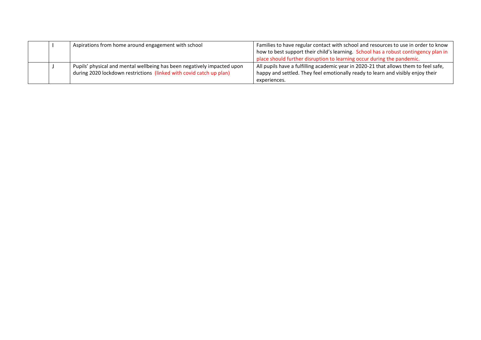|  | Aspirations from home around engagement with school                     | Families to have regular contact with school and resources to use in order to know<br>how to best support their child's learning. School has a robust contingency plan in<br>place should further disruption to learning occur during the pandemic. |
|--|-------------------------------------------------------------------------|-----------------------------------------------------------------------------------------------------------------------------------------------------------------------------------------------------------------------------------------------------|
|  |                                                                         |                                                                                                                                                                                                                                                     |
|  | Pupils' physical and mental wellbeing has been negatively impacted upon | All pupils have a fulfilling academic year in 2020-21 that allows them to feel safe,                                                                                                                                                                |
|  | during 2020 lockdown restrictions (linked with covid catch up plan)     | happy and settled. They feel emotionally ready to learn and visibly enjoy their                                                                                                                                                                     |
|  |                                                                         | experiences.                                                                                                                                                                                                                                        |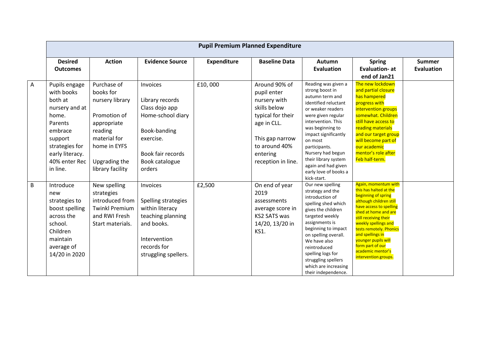|   | <b>Pupil Premium Planned Expenditure</b>                                                                                                                             |                                                                                                                                                            |                                                                                                                                                  |                    |                                                                                                                                                                        |                                                                                                                                                                                                                                                                                                                                        |                                                                                                                                                                                                                                                                                                                                             |                                    |  |  |  |  |
|---|----------------------------------------------------------------------------------------------------------------------------------------------------------------------|------------------------------------------------------------------------------------------------------------------------------------------------------------|--------------------------------------------------------------------------------------------------------------------------------------------------|--------------------|------------------------------------------------------------------------------------------------------------------------------------------------------------------------|----------------------------------------------------------------------------------------------------------------------------------------------------------------------------------------------------------------------------------------------------------------------------------------------------------------------------------------|---------------------------------------------------------------------------------------------------------------------------------------------------------------------------------------------------------------------------------------------------------------------------------------------------------------------------------------------|------------------------------------|--|--|--|--|
|   | <b>Desired</b><br><b>Outcomes</b>                                                                                                                                    | <b>Action</b>                                                                                                                                              | <b>Evidence Source</b>                                                                                                                           | <b>Expenditure</b> | <b>Baseline Data</b>                                                                                                                                                   | Autumn<br><b>Evaluation</b>                                                                                                                                                                                                                                                                                                            | <b>Spring</b><br><b>Evaluation- at</b><br>end of Jan21                                                                                                                                                                                                                                                                                      | <b>Summer</b><br><b>Evaluation</b> |  |  |  |  |
| Α | Pupils engage<br>with books<br>both at<br>nursery and at<br>home.<br>Parents<br>embrace<br>support<br>strategies for<br>early literacy.<br>40% enter Rec<br>in line. | Purchase of<br>books for<br>nursery library<br>Promotion of<br>appropriate<br>reading<br>material for<br>home in EYFS<br>Upgrading the<br>library facility | Invoices<br>Library records<br>Class dojo app<br>Home-school diary<br>Book-banding<br>exercise.<br>Book fair records<br>Book catalogue<br>orders | £10,000            | Around 90% of<br>pupil enter<br>nursery with<br>skills below<br>typical for their<br>age in CLL.<br>This gap narrow<br>to around 40%<br>entering<br>reception in line. | Reading was given a<br>strong boost in<br>autumn term and<br>identified reluctant<br>or weaker readers<br>were given regular<br>intervention. This<br>was beginning to<br>impact significantly<br>on most<br>participants.<br>Nursery had begun<br>their library system<br>again and had given<br>early love of books a<br>kick-start. | The new lockdown<br>and partial closure<br>has hampered<br>progress with<br>intervention groups<br>somewhat. Children<br>still have access to<br>reading materials<br>and our target group<br>will become part of<br>our academic<br>mentor's role after<br>Feb half-term.                                                                  |                                    |  |  |  |  |
| В | Introduce<br>new<br>strategies to<br>boost spelling<br>across the<br>school.<br>Children<br>maintain<br>average of<br>14/20 in 2020                                  | New spelling<br>strategies<br>introduced from<br><b>Twinkl Premium</b><br>and RWI Fresh<br>Start materials.                                                | Invoices<br>Spelling strategies<br>within literacy<br>teaching planning<br>and books.<br>Intervention<br>records for<br>struggling spellers.     | £2,500             | On end of year<br>2019<br>assessments<br>average score in<br>KS2 SATS was<br>14/20, 13/20 in<br>KS1.                                                                   | Our new spelling<br>strategy and the<br>introduction of<br>spelling shed which<br>gives the children<br>targeted weekly<br>assignments is<br>beginning to impact<br>on spelling overall.<br>We have also<br>reintroduced<br>spelling logs for<br>struggling spellers<br>which are increasing<br>their independence.                    | Again, momentum with<br>this has halted at the<br>beginning of spring<br>although children still<br>have access to spelling<br>shed at home and are<br>still receiving their<br>weekly spellings and<br>tests remotely. Phonics<br>and spellings in<br>younger pupils will<br>form part of our<br>academic mentor's<br>intervention groups. |                                    |  |  |  |  |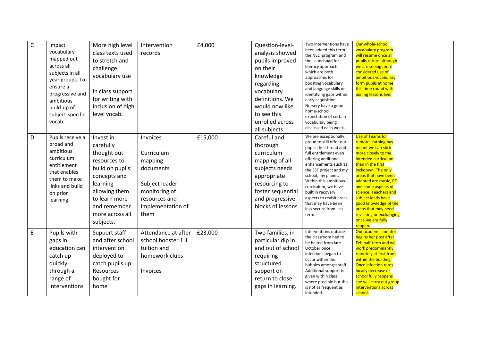| $\mathsf C$ | Impact<br>vocabulary<br>mapped out<br>across all<br>subjects in all<br>year groups. To<br>ensure a<br>progressive and<br>ambitious<br>build-up of<br>subject-specific<br>vocab. | More high level<br>class texts used<br>to stretch and<br>challenge<br>vocabulary use<br>In class support<br>for writing with<br>inclusion of high<br>level vocab.                       | Intervention<br>records                                                                                                         | £4,000  | Question-level-<br>analysis showed<br>pupils improved<br>on their<br>knowledge<br>regarding<br>vocabulary<br>definitions. We<br>would now like<br>to see this<br>unrolled across<br>all subjects. | Two interventions have<br>been added this term<br>the NELI program and<br>the Launchpad for<br>literacy approach<br>which are both<br>approaches for<br>boosting vocabulary<br>and language skills or<br>identifying gaps within<br>early acquisition.<br>Nursery have a good<br>home-school<br>expectation of certain<br>vocabulary being<br>discussed each week. | Our whole-school<br>vocabulary program<br>will resume once all<br>pupils return although<br>we are seeing more<br>considered use of<br>ambitious vocabulary<br>form pupils at home<br>this time round with<br>joining lessons live.                                                                                                                                                              |  |
|-------------|---------------------------------------------------------------------------------------------------------------------------------------------------------------------------------|-----------------------------------------------------------------------------------------------------------------------------------------------------------------------------------------|---------------------------------------------------------------------------------------------------------------------------------|---------|---------------------------------------------------------------------------------------------------------------------------------------------------------------------------------------------------|--------------------------------------------------------------------------------------------------------------------------------------------------------------------------------------------------------------------------------------------------------------------------------------------------------------------------------------------------------------------|--------------------------------------------------------------------------------------------------------------------------------------------------------------------------------------------------------------------------------------------------------------------------------------------------------------------------------------------------------------------------------------------------|--|
| D           | Pupils receive a<br>broad and<br>ambitious<br>curriculum<br>entitlement<br>that enables<br>them to make<br>links and build<br>on prior<br>learning.                             | Invest in<br>carefully<br>thought out<br>resources to<br>build on pupils'<br>concepts and<br>learning<br>allowing them<br>to learn more<br>and remember<br>more across all<br>subjects. | Invoices<br>Curriculum<br>mapping<br>documents<br>Subject leader<br>monitoring of<br>resources and<br>implementation of<br>them | £15,000 | Careful and<br>thorough<br>curriculum<br>mapping of all<br>subjects needs<br>appropriate<br>resourcing to<br>foster sequential<br>and progressive<br>blocks of lessons.                           | We are exceptionally<br>proud to still offer our<br>pupils their broad and<br>full entitlement even<br>offering additional<br>enhancements such as<br>the SSF project and my<br>school, my planet.<br>Within this ambitious<br>curriculum, we have<br>built in recovery<br>aspects to revisit areas<br>that may have been<br>less secure from last<br>term.        | <b>Use of Teams for</b><br>remote learning has<br>meant we can stick<br>more closely to the<br>intended curriculum<br>than in the first<br>lockdown. The only<br>areas that have been<br>adapted are music, PE<br>and some aspects of<br>science. Teachers and<br>subject leads have<br>good knowledge of the<br>areas that may need<br>revisiting or exchanging<br>once we are fully<br>reopen. |  |
| $\mathsf E$ | Pupils with<br>gaps in<br>education can<br>catch up<br>quickly<br>through a<br>range of<br>interventions                                                                        | Support staff<br>and after school<br>intervention<br>deployed to<br>catch pupils up<br><b>Resources</b><br>bought for<br>home                                                           | Attendance at after<br>school booster 1:1<br>tuition and<br>homework clubs<br>Invoices                                          | £23,000 | Two families, in<br>particular dip in<br>and out of school<br>requiring<br>structured<br>support on<br>return to close<br>gaps in learning.                                                       | Interventions outside<br>the classroom had to<br>be halted from late-<br>October once<br>infections began to<br>occur within the<br>bubbles amongst staff.<br>Additional support is<br>given within class<br>where possible but this<br>is not as frequent as<br>intended.                                                                                         | Our academic mentor<br>begins her post after<br>Feb half-term and will<br>work predominantly<br>remotely at first from<br>within the building.<br><b>Once infection rates</b><br>locally decrease or<br>school fully reopens<br>she will carry out group<br>interventions across<br>school.                                                                                                      |  |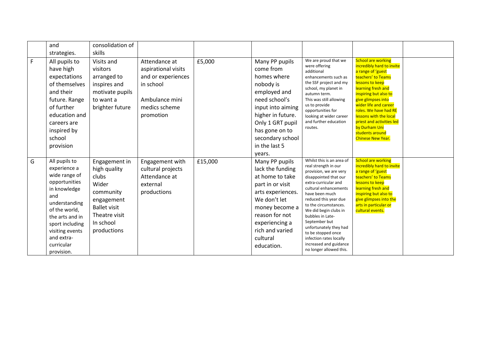|   | and                                                                                                                                                                                                                         | consolidation of                                                                                                                               |                                                                                                                         |         |                                                                                                                                                                                                                         |                                                                                                                                                                                                                                                                                                                                                                                                                         |                                                                                                                                                                                                                                                                                                                                                                    |  |
|---|-----------------------------------------------------------------------------------------------------------------------------------------------------------------------------------------------------------------------------|------------------------------------------------------------------------------------------------------------------------------------------------|-------------------------------------------------------------------------------------------------------------------------|---------|-------------------------------------------------------------------------------------------------------------------------------------------------------------------------------------------------------------------------|-------------------------------------------------------------------------------------------------------------------------------------------------------------------------------------------------------------------------------------------------------------------------------------------------------------------------------------------------------------------------------------------------------------------------|--------------------------------------------------------------------------------------------------------------------------------------------------------------------------------------------------------------------------------------------------------------------------------------------------------------------------------------------------------------------|--|
|   | strategies.                                                                                                                                                                                                                 | skills                                                                                                                                         |                                                                                                                         |         |                                                                                                                                                                                                                         |                                                                                                                                                                                                                                                                                                                                                                                                                         |                                                                                                                                                                                                                                                                                                                                                                    |  |
| F | All pupils to<br>have high<br>expectations<br>of themselves<br>and their<br>future. Range<br>of further<br>education and<br>careers are<br>inspired by<br>school<br>provision                                               | Visits and<br>visitors<br>arranged to<br>inspires and<br>motivate pupils<br>to want a<br>brighter future                                       | Attendance at<br>aspirational visits<br>and or experiences<br>in school<br>Ambulance mini<br>medics scheme<br>promotion | £5,000  | Many PP pupils<br>come from<br>homes where<br>nobody is<br>employed and<br>need school's<br>input into aiming<br>higher in future.<br>Only 1 GRT pupil<br>has gone on to<br>secondary school<br>in the last 5<br>years. | We are proud that we<br>were offering<br>additional<br>enhancements such as<br>the SSF project and my<br>school, my planet in<br>autumn term.<br>This was still allowing<br>us to provide<br>opportunities for<br>looking at wider career<br>and further education<br>routes.                                                                                                                                           | <b>School are working</b><br>incredibly hard to invite<br>a range of 'guest<br>teachers' to Teams<br>lessons to keep<br>learning fresh and<br>inspiring but also to<br>give glimpses into<br>wider life and career<br>roles. We have had RE<br>lessons with the local<br>priest and activities led<br>by Durham Uni<br>students around<br><b>Chinese New Year.</b> |  |
| G | All pupils to<br>experience a<br>wide range of<br>opportunities<br>in knowledge<br>and<br>understanding<br>of the world,<br>the arts and in<br>sport including<br>visiting events<br>and extra-<br>curricular<br>provision. | Engagement in<br>high quality<br>clubs<br>Wider<br>community<br>engagement<br><b>Ballet visit</b><br>Theatre visit<br>In school<br>productions | Engagement with<br>cultural projects<br>Attendance at<br>external<br>productions                                        | £15,000 | Many PP pupils<br>lack the funding<br>at home to take<br>part in or visit<br>arts experiences.<br>We don't let<br>money become a<br>reason for not<br>experiencing a<br>rich and varied<br>cultural<br>education.       | Whilst this is an area of<br>real strength in our<br>provision, we are very<br>disappointed that our<br>extra-curricular and<br>cultural enhancements<br>have been much<br>reduced this year due<br>to the circumstances.<br>We did begin clubs in<br>bubbles in Late-<br>September but<br>unfortunately they had<br>to be stopped once<br>infection rates locally<br>increased and guidance<br>no longer allowed this. | <b>School are working</b><br>incredibly hard to invite<br>a range of 'guest<br>teachers' to Teams<br>lessons to keep<br>learning fresh and<br>inspiring but also to<br>give glimpses into the<br>arts in particular or<br>cultural events.                                                                                                                         |  |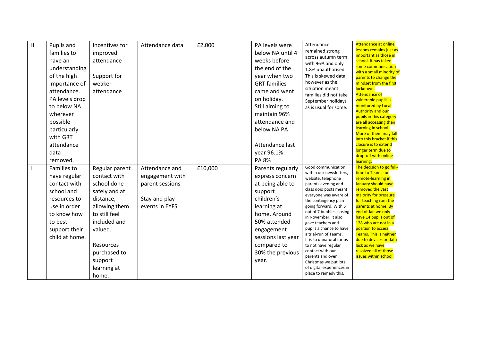| H | Pupils and<br>families to<br>have an<br>understanding<br>of the high<br>importance of<br>attendance.<br>PA levels drop<br>to below NA<br>wherever<br>possible<br>particularly<br>with GRT<br>attendance<br>data | Incentives for<br>improved<br>attendance<br>Support for<br>weaker<br>attendance                                                                                                                          | Attendance data                                                                         | £2,000  | PA levels were<br>below NA until 4<br>weeks before<br>the end of the<br>year when two<br><b>GRT</b> families<br>came and went<br>on holiday.<br>Still aiming to<br>maintain 96%<br>attendance and<br>below NA PA<br>Attendance last<br>year 96.1% | Attendance<br>remained strong<br>across autumn term<br>with 96% and only<br>1.8% unauthorised.<br>This is skewed data<br>however as the<br>situation meant<br>families did not take<br>September holidays<br>as is usual for some.                                                                                                                                                                                                                                                                     | <b>Attendance at online</b><br>lessons remains just as<br>important as those in<br>school. It has taken<br>some communication<br>with a small minority of<br>parents to change the<br>mindset from the first<br>lockdown.<br><b>Attendance of</b><br>vulnerable pupils is<br>monitored by Local<br><b>Authority and our</b><br>pupils in this category<br>are all accessing their<br>learning in school.<br>More of them may fall<br>into this bracket if this<br>closure is to extend<br>longer term due to<br>drop-off with online |  |
|---|-----------------------------------------------------------------------------------------------------------------------------------------------------------------------------------------------------------------|----------------------------------------------------------------------------------------------------------------------------------------------------------------------------------------------------------|-----------------------------------------------------------------------------------------|---------|---------------------------------------------------------------------------------------------------------------------------------------------------------------------------------------------------------------------------------------------------|--------------------------------------------------------------------------------------------------------------------------------------------------------------------------------------------------------------------------------------------------------------------------------------------------------------------------------------------------------------------------------------------------------------------------------------------------------------------------------------------------------|--------------------------------------------------------------------------------------------------------------------------------------------------------------------------------------------------------------------------------------------------------------------------------------------------------------------------------------------------------------------------------------------------------------------------------------------------------------------------------------------------------------------------------------|--|
|   | removed.<br>Families to<br>have regular<br>contact with<br>school and<br>resources to<br>use in order<br>to know how<br>to best<br>support their<br>child at home.                                              | Regular parent<br>contact with<br>school done<br>safely and at<br>distance,<br>allowing them<br>to still feel<br>included and<br>valued.<br>Resources<br>purchased to<br>support<br>learning at<br>home. | Attendance and<br>engagement with<br>parent sessions<br>Stay and play<br>events in EYFS | £10,000 | PA 8%<br>Parents regularly<br>express concern<br>at being able to<br>support<br>children's<br>learning at<br>home. Around<br>50% attended<br>engagement<br>sessions last year<br>compared to<br>30% the previous<br>year.                         | Good communication<br>within our newsletters,<br>website, telephone<br>parents evening and<br>class dojo posts meant<br>everyone was aware of<br>the contingency plan<br>going forward. With 5<br>out of 7 bubbles closing<br>in November, it also<br>gave teachers and<br>pupils a chance to have<br>a trial-run of Teams.<br>It is so unnatural for us<br>to not have regular<br>contact with our<br>parents and over<br>Christmas we put lots<br>of digital experiences in<br>place to remedy this. | learning.<br>The decision to go full-<br>time to Teams for<br>remote-learning in<br>January should have<br>removed the vast<br>majority for pressure<br>for teaching rom the<br>parents at home. By<br>end of Jan we only<br>have 14 pupils out of<br>128 who are not in a<br>position to access<br>Teams. This is neither<br>due to devices or data<br>lack as we have<br>resolved all of those<br>issues within school.                                                                                                            |  |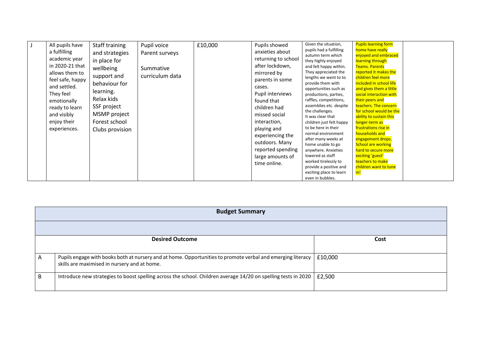| All pupils have  | Staff training  | Pupil voice     | £10,000 | Pupils showed       | Given the situation,                              | <b>Pupils learning form</b>                        |
|------------------|-----------------|-----------------|---------|---------------------|---------------------------------------------------|----------------------------------------------------|
| a fulfilling     | and strategies  | Parent surveys  |         | anxieties about     | pupils had a fulfilling                           | home have really                                   |
| academic year    |                 |                 |         | returning to school | autumn term which                                 | enjoyed and embraced                               |
|                  | in place for    |                 |         |                     | they highly enjoyed                               | learning through                                   |
| in 2020-21 that  | wellbeing       | Summative       |         | after lockdown,     | and felt happy within.                            | <b>Teams. Parents</b>                              |
| allows them to   | support and     | curriculum data |         | mirrored by         | They appreciated the                              | reported it makes the                              |
| feel safe, happy |                 |                 |         | parents in some     | lengths we went to to                             | children feel more                                 |
| and settled.     | behaviour for   |                 |         | cases.              | provide them with                                 | included in school life                            |
| They feel        | learning.       |                 |         | Pupil interviews    | opportunities such as                             | and gives them a little<br>social interaction with |
|                  | Relax kids      |                 |         |                     | productions, parties,                             | their peers and                                    |
| emotionally      |                 |                 |         | found that          | raffles, competitions,<br>assemblies etc. despite | teachers. The concern                              |
| ready to learn   | SSF project     |                 |         | children had        | the challenges.                                   | for school would be the                            |
| and visibly      | MSMP project    |                 |         | missed social       | It was clear that                                 | ability to sustain this                            |
| enjoy their      | Forest school   |                 |         | interaction,        | children just felt happy                          | longer-term as                                     |
| experiences.     |                 |                 |         | playing and         | to be here in their                               | frustrations rise in                               |
|                  | Clubs provision |                 |         |                     | normal environment                                | households and                                     |
|                  |                 |                 |         | experiencing the    | after many weeks at                               | engagement drops.                                  |
|                  |                 |                 |         | outdoors. Many      | home unable to go                                 | <b>School are working</b>                          |
|                  |                 |                 |         | reported spending   | anywhere. Anxieties                               | hard to secure more                                |
|                  |                 |                 |         | large amounts of    | lowered as staff                                  | exciting 'guest'                                   |
|                  |                 |                 |         | time online.        | worked tirelessly to                              | teachers to make                                   |
|                  |                 |                 |         |                     | provide a positive and                            | children want to tune                              |
|                  |                 |                 |         |                     | exciting place to learn                           | in!                                                |
|                  |                 |                 |         |                     | even in bubbles.                                  |                                                    |

|    | <b>Budget Summary</b>                                                                                                                                       |         |  |  |  |
|----|-------------------------------------------------------------------------------------------------------------------------------------------------------------|---------|--|--|--|
|    |                                                                                                                                                             |         |  |  |  |
|    | <b>Desired Outcome</b>                                                                                                                                      | Cost    |  |  |  |
| A  | Pupils engage with books both at nursery and at home. Opportunities to promote verbal and emerging literacy<br>skills are maximised in nursery and at home. | £10,000 |  |  |  |
| B. | Introduce new strategies to boost spelling across the school. Children average 14/20 on spelling tests in 2020                                              | £2,500  |  |  |  |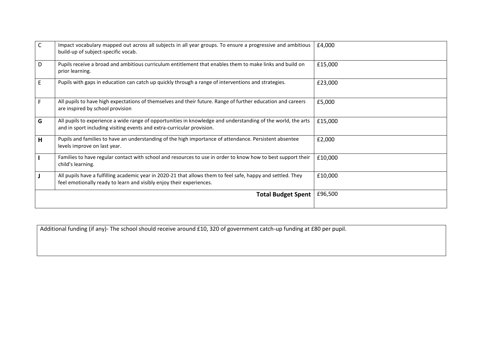| $\mathsf{C}$ | Impact vocabulary mapped out across all subjects in all year groups. To ensure a progressive and ambitious<br>build-up of subject-specific vocab.                                      | £4,000  |
|--------------|----------------------------------------------------------------------------------------------------------------------------------------------------------------------------------------|---------|
| D            | Pupils receive a broad and ambitious curriculum entitlement that enables them to make links and build on<br>prior learning.                                                            | £15,000 |
| E            | Pupils with gaps in education can catch up quickly through a range of interventions and strategies.                                                                                    | £23,000 |
| F.           | All pupils to have high expectations of themselves and their future. Range of further education and careers<br>are inspired by school provision                                        | £5,000  |
| G            | All pupils to experience a wide range of opportunities in knowledge and understanding of the world, the arts<br>and in sport including visiting events and extra-curricular provision. | £15,000 |
| H            | Pupils and families to have an understanding of the high importance of attendance. Persistent absentee<br>levels improve on last year.                                                 | £2,000  |
|              | Families to have regular contact with school and resources to use in order to know how to best support their<br>child's learning.                                                      | £10,000 |
|              | All pupils have a fulfilling academic year in 2020-21 that allows them to feel safe, happy and settled. They<br>feel emotionally ready to learn and visibly enjoy their experiences.   | £10,000 |
|              | <b>Total Budget Spent</b>                                                                                                                                                              | £96,500 |

|  |  |  |  | Additional funding (if any)- The school should receive around £10, 320 of government catch-up funding at £80 per pupil. |
|--|--|--|--|-------------------------------------------------------------------------------------------------------------------------|
|--|--|--|--|-------------------------------------------------------------------------------------------------------------------------|